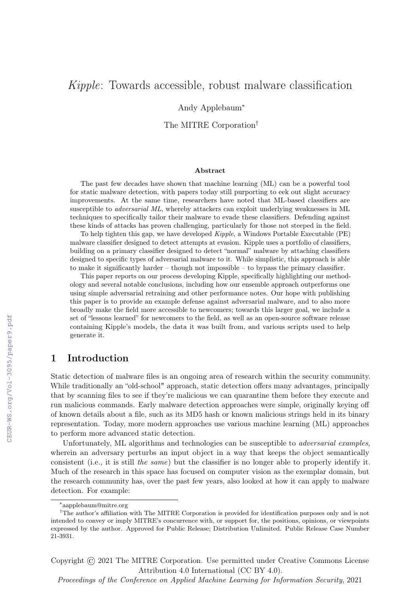# Kipple: Towards accessible, robust malware classification

#### Andy Applebaum<sup>∗</sup>

The MITRE Corporation†

#### Abstract

The past few decades have shown that machine learning (ML) can be a powerful tool for static malware detection, with papers today still purporting to eek out slight accuracy improvements. At the same time, researchers have noted that ML-based classifiers are susceptible to adversarial ML, whereby attackers can exploit underlying weaknesses in ML techniques to specifically tailor their malware to evade these classifiers. Defending against these kinds of attacks has proven challenging, particularly for those not steeped in the field.

To help tighten this gap, we have developed Kipple, a Windows Portable Executable (PE) malware classifier designed to detect attempts at evasion. Kipple uses a portfolio of classifiers, building on a primary classifier designed to detect "normal" malware by attaching classifiers designed to specific types of adversarial malware to it. While simplistic, this approach is able to make it significantly harder – though not impossible – to bypass the primary classifier.

This paper reports on our process developing Kipple, specifically highlighting our methodology and several notable conclusions, including how our ensemble approach outperforms one using simple adversarial retraining and other performance notes. Our hope with publishing this paper is to provide an example defense against adversarial malware, and to also more broadly make the field more accessible to newcomers; towards this larger goal, we include a set of "lessons learned" for newcomers to the field, as well as an open-source software release containing Kipple's models, the data it was built from, and various scripts used to help generate it.

# 1 Introduction

Static detection of malware files is an ongoing area of research within the security community. While traditionally an "old-school" approach, static detection offers many advantages, principally that by scanning files to see if they're malicious we can quarantine them before they execute and run malicious commands. Early malware detection approaches were simple, originally keying off of known details about a file, such as its MD5 hash or known malicious strings held in its binary representation. Today, more modern approaches use various machine learning (ML) approaches to perform more advanced static detection.

Unfortunately, ML algorithms and technologies can be susceptible to *adversarial examples*, wherein an adversary perturbs an input object in a way that keeps the object semantically consistent (i.e., it is still the same) but the classifier is no longer able to properly identify it. Much of the research in this space has focused on computer vision as the exemplar domain, but the research community has, over the past few years, also looked at how it can apply to malware detection. For example:

Copyright © 2021 The MITRE Corporation. Use permitted under Creative Commons License Attribution 4.0 International (CC BY 4.0).

Proceedings of the Conference on Applied Machine Learning for Information Security, 2021

<sup>∗</sup> aapplebaum@mitre.org

<sup>†</sup>The author's affiliation with The MITRE Corporation is provided for identification purposes only and is not intended to convey or imply MITRE's concurrence with, or support for, the positions, opinions, or viewpoints expressed by the author. Approved for Public Release; Distribution Unlimited. Public Release Case Number 21-3931.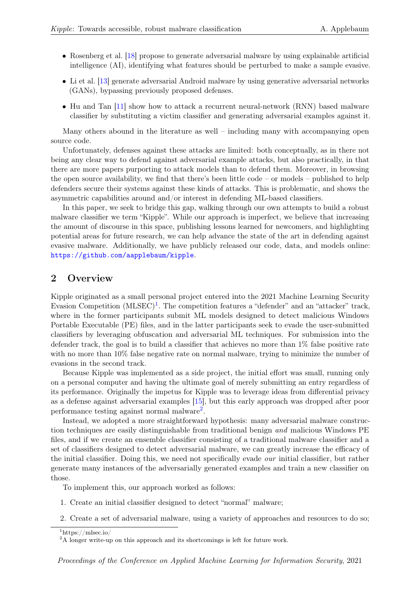- Rosenberg et al. [\[18\]](#page-15-0) propose to generate adversarial malware by using explainable artificial intelligence (AI), identifying what features should be perturbed to make a sample evasive.
- Li et al. [\[13\]](#page-15-1) generate adversarial Android malware by using generative adversarial networks (GANs), bypassing previously proposed defenses.
- Hu and Tan [\[11\]](#page-15-2) show how to attack a recurrent neural-network (RNN) based malware classifier by substituting a victim classifier and generating adversarial examples against it.

Many others abound in the literature as well – including many with accompanying open source code.

Unfortunately, defenses against these attacks are limited: both conceptually, as in there not being any clear way to defend against adversarial example attacks, but also practically, in that there are more papers purporting to attack models than to defend them. Moreover, in browsing the open source availability, we find that there's been little code – or models – published to help defenders secure their systems against these kinds of attacks. This is problematic, and shows the asymmetric capabilities around and/or interest in defending ML-based classifiers.

In this paper, we seek to bridge this gap, walking through our own attempts to build a robust malware classifier we term "Kipple". While our approach is imperfect, we believe that increasing the amount of discourse in this space, publishing lessons learned for newcomers, and highlighting potential areas for future research, we can help advance the state of the art in defending against evasive malware. Additionally, we have publicly released our code, data, and models online: <https://github.com/aapplebaum/kipple>.

## 2 Overview

Kipple originated as a small personal project entered into the 2021 Machine Learning Security Evasion Competition  $(MLSEC)^1$  $(MLSEC)^1$ . The competition features a "defender" and an "attacker" track, where in the former participants submit ML models designed to detect malicious Windows Portable Executable (PE) files, and in the latter participants seek to evade the user-submitted classifiers by leveraging obfuscation and adversarial ML techniques. For submission into the defender track, the goal is to build a classifier that achieves no more than 1% false positive rate with no more than  $10\%$  false negative rate on normal malware, trying to minimize the number of evasions in the second track.

Because Kipple was implemented as a side project, the initial effort was small, running only on a personal computer and having the ultimate goal of merely submitting an entry regardless of its performance. Originally the impetus for Kipple was to leverage ideas from differential privacy as a defense against adversarial examples [\[15\]](#page-15-3), but this early approach was dropped after poor performance testing against normal malware<sup>[2](#page-1-1)</sup>.

Instead, we adopted a more straightforward hypothesis: many adversarial malware construction techniques are easily distinguishable from traditional benign and malicious Windows PE files, and if we create an ensemble classifier consisting of a traditional malware classifier and a set of classifiers designed to detect adversarial malware, we can greatly increase the efficacy of the initial classifier. Doing this, we need not specifically evade our initial classifier, but rather generate many instances of the adversarially generated examples and train a new classifier on those.

To implement this, our approach worked as follows:

- 1. Create an initial classifier designed to detect "normal" malware;
- 2. Create a set of adversarial malware, using a variety of approaches and resources to do so;

<span id="page-1-0"></span> $1$ https://mlsec.io/

<span id="page-1-1"></span><sup>&</sup>lt;sup>2</sup>A longer write-up on this approach and its shortcomings is left for future work.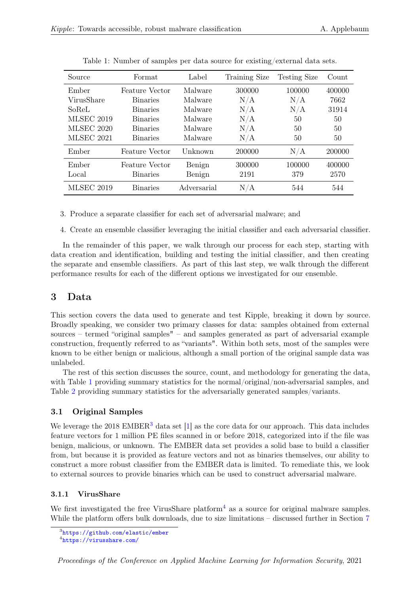| Source            | Format                | Label       | Training Size | <b>Testing Size</b> | Count  |
|-------------------|-----------------------|-------------|---------------|---------------------|--------|
| Ember             | <b>Feature Vector</b> | Malware     | 300000        | 100000              | 400000 |
| VirusShare        | <b>Binaries</b>       | Malware     | N/A           | N/A                 | 7662   |
| SoReL             | <b>Binaries</b>       | Malware     | N/A           | N/A                 | 31914  |
| <b>MLSEC 2019</b> | <b>Binaries</b>       | Malware     | N/A           | 50                  | 50     |
| <b>MLSEC 2020</b> | <b>Binaries</b>       | Malware     | N/A           | 50                  | 50     |
| <b>MLSEC 2021</b> | <b>Binaries</b>       | Malware     | N/A           | 50                  | 50     |
| Ember             | Feature Vector        | Unknown     | 200000        | N/A                 | 200000 |
| Ember             | Feature Vector        | Benign      | 300000        | 100000              | 400000 |
| Local             | <b>Binaries</b>       | Benign      | 2191          | 379                 | 2570   |
| <b>MLSEC 2019</b> | <b>Binaries</b>       | Adversarial | N/A           | 544                 | 544    |

<span id="page-2-0"></span>Table 1: Number of samples per data source for existing/external data sets.

3. Produce a separate classifier for each set of adversarial malware; and

4. Create an ensemble classifier leveraging the initial classifier and each adversarial classifier.

In the remainder of this paper, we walk through our process for each step, starting with data creation and identification, building and testing the initial classifier, and then creating the separate and ensemble classifiers. As part of this last step, we walk through the different performance results for each of the different options we investigated for our ensemble.

# <span id="page-2-3"></span>3 Data

This section covers the data used to generate and test Kipple, breaking it down by source. Broadly speaking, we consider two primary classes for data: samples obtained from external sources – termed "original samples" – and samples generated as part of adversarial example construction, frequently referred to as "variants". Within both sets, most of the samples were known to be either benign or malicious, although a small portion of the original sample data was unlabeled.

The rest of this section discusses the source, count, and methodology for generating the data, with Table [1](#page-2-0) providing summary statistics for the normal/original/non-adversarial samples, and Table [2](#page-4-0) providing summary statistics for the adversarially generated samples/variants.

# 3.1 Original Samples

We leverage the 2018 EMBER<sup>[3](#page-2-1)</sup> data set [\[1\]](#page-14-0) as the core data for our approach. This data includes feature vectors for 1 million PE files scanned in or before 2018, categorized into if the file was benign, malicious, or unknown. The EMBER data set provides a solid base to build a classifier from, but because it is provided as feature vectors and not as binaries themselves, our ability to construct a more robust classifier from the EMBER data is limited. To remediate this, we look to external sources to provide binaries which can be used to construct adversarial malware.

### 3.1.1 VirusShare

We first investigated the free VirusShare platform<sup>[4](#page-2-2)</sup> as a source for original malware samples. While the platform offers bulk downloads, due to size limitations – discussed further in Section [7](#page-12-0)

<span id="page-2-1"></span><sup>3</sup> <https://github.com/elastic/ember>

<span id="page-2-2"></span><sup>4</sup> <https://virusshare.com/>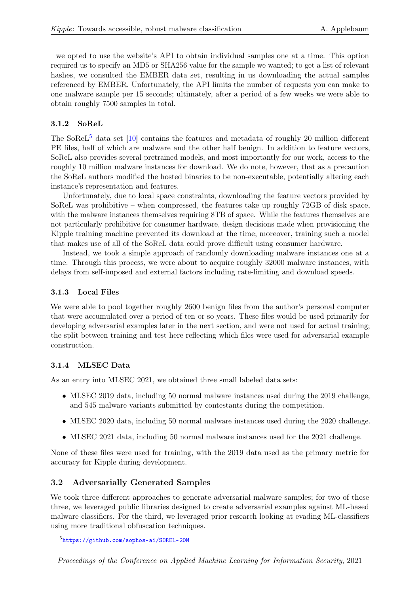– we opted to use the website's API to obtain individual samples one at a time. This option required us to specify an MD5 or SHA256 value for the sample we wanted; to get a list of relevant hashes, we consulted the EMBER data set, resulting in us downloading the actual samples referenced by EMBER. Unfortunately, the API limits the number of requests you can make to one malware sample per 15 seconds; ultimately, after a period of a few weeks we were able to obtain roughly 7500 samples in total.

## 3.1.2 SoReL

The SoReL<sup>[5](#page-3-0)</sup> data set [\[10\]](#page-15-4) contains the features and metadata of roughly 20 million different PE files, half of which are malware and the other half benign. In addition to feature vectors, SoReL also provides several pretrained models, and most importantly for our work, access to the roughly 10 million malware instances for download. We do note, however, that as a precaution the SoReL authors modified the hosted binaries to be non-executable, potentially altering each instance's representation and features.

Unfortunately, due to local space constraints, downloading the feature vectors provided by SoReL was prohibitive – when compressed, the features take up roughly  $72GB$  of disk space, with the malware instances themselves requiring 8TB of space. While the features themselves are not particularly prohibitive for consumer hardware, design decisions made when provisioning the Kipple training machine prevented its download at the time; moreover, training such a model that makes use of all of the SoReL data could prove difficult using consumer hardware.

Instead, we took a simple approach of randomly downloading malware instances one at a time. Through this process, we were about to acquire roughly 32000 malware instances, with delays from self-imposed and external factors including rate-limiting and download speeds.

#### 3.1.3 Local Files

We were able to pool together roughly 2600 benign files from the author's personal computer that were accumulated over a period of ten or so years. These files would be used primarily for developing adversarial examples later in the next section, and were not used for actual training; the split between training and test here reflecting which files were used for adversarial example construction.

### 3.1.4 MLSEC Data

As an entry into MLSEC 2021, we obtained three small labeled data sets:

- MLSEC 2019 data, including 50 normal malware instances used during the 2019 challenge, and 545 malware variants submitted by contestants during the competition.
- MLSEC 2020 data, including 50 normal malware instances used during the 2020 challenge.
- MLSEC 2021 data, including 50 normal malware instances used for the 2021 challenge.

None of these files were used for training, with the 2019 data used as the primary metric for accuracy for Kipple during development.

### <span id="page-3-1"></span>3.2 Adversarially Generated Samples

We took three different approaches to generate adversarial malware samples; for two of these three, we leveraged public libraries designed to create adversarial examples against ML-based malware classifiers. For the third, we leveraged prior research looking at evading ML-classifiers using more traditional obfuscation techniques.

<span id="page-3-0"></span><sup>5</sup> <https://github.com/sophos-ai/SOREL-20M>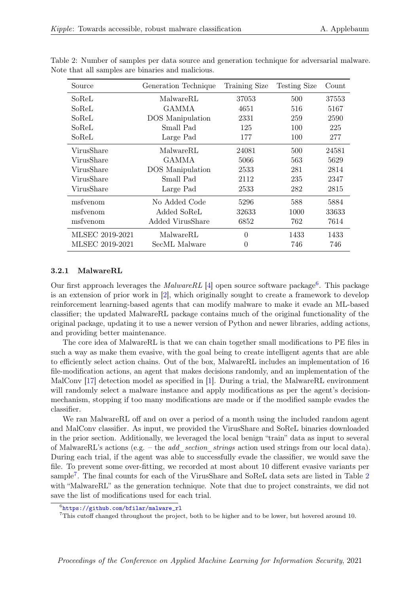<span id="page-4-0"></span>

| Source                  | Generation Technique    |             | <b>Testing Size</b> | Count |
|-------------------------|-------------------------|-------------|---------------------|-------|
| MalwareRL<br>SoReL      |                         | 37053       | 500                 | 37553 |
| SoReL                   | <b>GAMMA</b>            | 4651        | 516                 | 5167  |
| SoReL                   | <b>DOS</b> Manipulation | 2331        | 259                 | 2590  |
| SoReL                   | Small Pad               | 125         | 100                 | 225   |
| SoReL                   | Large Pad               | 177         | 100                 | 277   |
| VirusShare              | MalwareRL               |             | 500                 | 24581 |
| GAMMA<br>VirusShare     |                         | 5066        | 563                 | 5629  |
| VirusShare              | DOS Manipulation        |             | 281                 | 2814  |
| VirusShare<br>Small Pad |                         | 2112        | 235                 | 2347  |
| VirusShare<br>Large Pad |                         | 2533<br>282 |                     | 2815  |
| msfyenom                | No Added Code           | 5296        | 588                 | 5884  |
| Added SoReL<br>msfyenom |                         | 32633       | 1000                | 33633 |
| msfyenom                | Added VirusShare        |             | 6852<br>762         |       |
| MLSEC 2019-2021         | MalwareRL               |             | 1433                | 1433  |
| MLSEC 2019-2021         | SecML Malware           | 0           | 746                 | 746   |

Table 2: Number of samples per data source and generation technique for adversarial malware. Note that all samples are binaries and malicious.

#### 3.2.1 MalwareRL

Our first approach leverages the MalwareRL [\[4\]](#page-14-1) open source software package<sup>[6](#page-4-1)</sup>. This package is an extension of prior work in [\[2\]](#page-14-2), which originally sought to create a framework to develop reinforcement learning-based agents that can modify malware to make it evade an ML-based classifier; the updated MalwareRL package contains much of the original functionality of the original package, updating it to use a newer version of Python and newer libraries, adding actions, and providing better maintenance.

The core idea of MalwareRL is that we can chain together small modifications to PE files in such a way as make them evasive, with the goal being to create intelligent agents that are able to efficiently select action chains. Out of the box, MalwareRL includes an implementation of 16 file-modification actions, an agent that makes decisions randomly, and an implementation of the MalConv [\[17\]](#page-15-5) detection model as specified in [\[1\]](#page-14-0). During a trial, the MalwareRL environment will randomly select a malware instance and apply modifications as per the agent's decisionmechanism, stopping if too many modifications are made or if the modified sample evades the classifier.

We ran MalwareRL off and on over a period of a month using the included random agent and MalConv classifier. As input, we provided the VirusShare and SoReL binaries downloaded in the prior section. Additionally, we leveraged the local benign "train" data as input to several of MalwareRL's actions (e.g. – the *add section strings* action used strings from our local data). During each trial, if the agent was able to successfully evade the classifier, we would save the file. To prevent some over-fitting, we recorded at most about 10 different evasive variants per sample<sup>[7](#page-4-2)</sup>. The final counts for each of the VirusShare and SoReL data sets are listed in Table [2](#page-4-0) with "MalwareRL" as the generation technique. Note that due to project constraints, we did not save the list of modifications used for each trial.

<span id="page-4-1"></span><sup>6</sup> [https://github.com/bfilar/malware\\_rl](https://github.com/bfilar/malware_rl)

<span id="page-4-2"></span><sup>7</sup>This cutoff changed throughout the project, both to be higher and to be lower, but hovered around 10.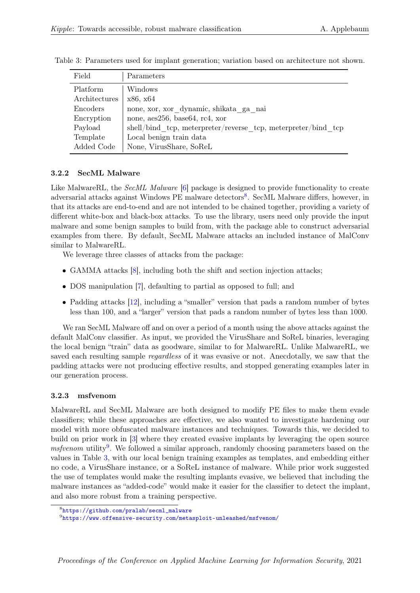<span id="page-5-2"></span>

| Field         | Parameters                                                      |
|---------------|-----------------------------------------------------------------|
| Platform      | Windows                                                         |
| Architectures | x86, x64                                                        |
| Encoders      | none, xor, xor_dynamic, shikata ga nai                          |
| Encryption    | none, aes256, base64, rc4, xor                                  |
| Payload       | $shell/bind$ tcp, meterpreter/reverse tcp, meterpreter/bind tcp |
| Template      | Local benign train data                                         |
| Added Code    | None, VirusShare, SoReL                                         |

Table 3: Parameters used for implant generation; variation based on architecture not shown.

#### 3.2.2 SecML Malware

Like MalwareRL, the *SecML Malware* [\[6\]](#page-14-3) package is designed to provide functionality to create adversarial attacks against Windows PE malware detectors<sup>[8](#page-5-0)</sup>. SecML Malware differs, however, in that its attacks are end-to-end and are not intended to be chained together, providing a variety of different white-box and black-box attacks. To use the library, users need only provide the input malware and some benign samples to build from, with the package able to construct adversarial examples from there. By default, SecML Malware attacks an included instance of MalConv similar to MalwareRL.

We leverage three classes of attacks from the package:

- GAMMA attacks [\[8\]](#page-14-4), including both the shift and section injection attacks;
- DOS manipulation [\[7\]](#page-14-5), defaulting to partial as opposed to full; and
- Padding attacks [\[12\]](#page-15-6), including a "smaller" version that pads a random number of bytes less than 100, and a "larger" version that pads a random number of bytes less than 1000.

We ran SecML Malware off and on over a period of a month using the above attacks against the default MalConv classifier. As input, we provided the VirusShare and SoReL binaries, leveraging the local benign "train" data as goodware, similar to for MalwareRL. Unlike MalwareRL, we saved each resulting sample regardless of it was evasive or not. Anecdotally, we saw that the padding attacks were not producing effective results, and stopped generating examples later in our generation process.

#### 3.2.3 msfvenom

MalwareRL and SecML Malware are both designed to modify PE files to make them evade classifiers; while these approaches are effective, we also wanted to investigate hardening our model with more obfuscated malware instances and techniques. Towards this, we decided to build on prior work in [\[3\]](#page-14-6) where they created evasive implants by leveraging the open source  $msfvenom$  utility<sup>[9](#page-5-1)</sup>. We followed a similar approach, randomly choosing parameters based on the values in Table [3,](#page-5-2) with our local benign training examples as templates, and embedding either no code, a VirusShare instance, or a SoReL instance of malware. While prior work suggested the use of templates would make the resulting implants evasive, we believed that including the malware instances as "added-code" would make it easier for the classifier to detect the implant, and also more robust from a training perspective.

<span id="page-5-0"></span><sup>8</sup> [https://github.com/pralab/secml\\_malware](https://github.com/pralab/secml_malware)

<span id="page-5-1"></span> $^9$ <https://www.offensive-security.com/metasploit-unleashed/msfvenom/>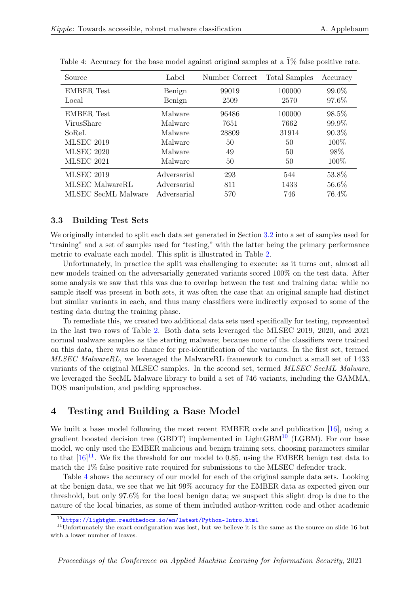| Source              | Label       | Number Correct | <b>Total Samples</b> | Accuracy |
|---------------------|-------------|----------------|----------------------|----------|
| <b>EMBER</b> Test   | Benign      | 99019          | 100000               | 99.0%    |
| Local               | Benign      | 2509           | 2570                 | 97.6%    |
| <b>EMBER</b> Test   | Malware     | 96486          | 100000               | 98.5%    |
| VirusShare          | Malware     | 7651           | 7662                 | 99.9%    |
| SoReL               | Malware     | 28809          | 31914                | 90.3%    |
| <b>MLSEC 2019</b>   | Malware     | 50             | 50                   | 100\%    |
| <b>MLSEC 2020</b>   | Malware     | 49             | 50                   | 98%      |
| <b>MLSEC 2021</b>   | Malware     | 50             | 50                   | 100\%    |
| <b>MLSEC 2019</b>   | Adversarial | 293            | 544                  | 53.8%    |
| MLSEC MalwareRL     | Adversarial | 811            | 1433                 | 56.6%    |
| MLSEC SecML Malware | Adversarial | 570            | 746                  | 76.4\%   |

<span id="page-6-2"></span>Table 4: Accuracy for the base model against original samples at a  $\tilde{1}\%$  false positive rate.

#### 3.3 Building Test Sets

We originally intended to split each data set generated in Section [3.2](#page-3-1) into a set of samples used for "training" and a set of samples used for "testing," with the latter being the primary performance metric to evaluate each model. This split is illustrated in Table [2.](#page-4-0)

Unfortunately, in practice the split was challenging to execute: as it turns out, almost all new models trained on the adversarially generated variants scored 100% on the test data. After some analysis we saw that this was due to overlap between the test and training data: while no sample itself was present in both sets, it was often the case that an original sample had distinct but similar variants in each, and thus many classifiers were indirectly exposed to some of the testing data during the training phase.

To remediate this, we created two additional data sets used specifically for testing, represented in the last two rows of Table [2.](#page-4-0) Both data sets leveraged the MLSEC 2019, 2020, and 2021 normal malware samples as the starting malware; because none of the classifiers were trained on this data, there was no chance for pre-identification of the variants. In the first set, termed MLSEC MalwareRL, we leveraged the MalwareRL framework to conduct a small set of 1433 variants of the original MLSEC samples. In the second set, termed MLSEC SecML Malware, we leveraged the SecML Malware library to build a set of 746 variants, including the GAMMA, DOS manipulation, and padding approaches.

# <span id="page-6-3"></span>4 Testing and Building a Base Model

We built a base model following the most recent EMBER code and publication [\[16\]](#page-15-7), using a gradient boosted decision tree (GBDT) implemented in LightGBM $^{10}$  $^{10}$  $^{10}$  (LGBM). For our base model, we only used the EMBER malicious and benign training sets, choosing parameters similar to that  $[16]^{11}$  $[16]^{11}$  $[16]^{11}$  $[16]^{11}$ . We fix the threshold for our model to 0.85, using the EMBER benign test data to match the 1% false positive rate required for submissions to the MLSEC defender track.

Table [4](#page-6-2) shows the accuracy of our model for each of the original sample data sets. Looking at the benign data, we see that we hit 99% accuracy for the EMBER data as expected given our threshold, but only 97.6% for the local benign data; we suspect this slight drop is due to the nature of the local binaries, as some of them included author-written code and other academic

<span id="page-6-1"></span><span id="page-6-0"></span><sup>10</sup><https://lightgbm.readthedocs.io/en/latest/Python-Intro.html>

 $11$ Unfortunately the exact configuration was lost, but we believe it is the same as the source on slide 16 but with a lower number of leaves.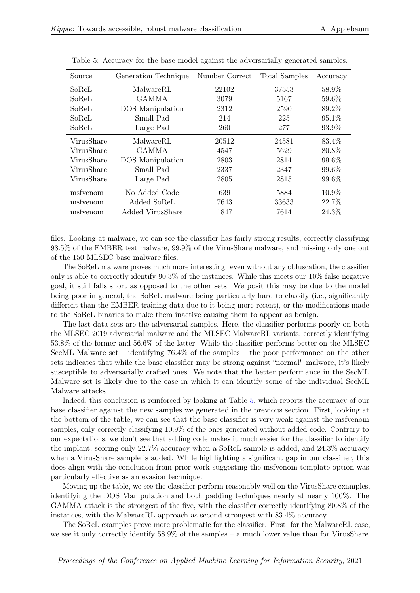| Source     | Generation Technique | Number Correct | Total Samples | Accuracy |
|------------|----------------------|----------------|---------------|----------|
| SoReL      | MalwareRL            | 22102          | 37553         | 58.9%    |
| SoReL      | <b>GAMMA</b>         | 3079           | 5167          | 59.6%    |
| SoReL      | DOS Manipulation     | 2312           | 2590          | 89.2%    |
| SoReL      | Small Pad            | 214            | 225           | 95.1%    |
| SoReL      | Large Pad            | 260            | 277           | 93.9%    |
| VirusShare | MalwareRL            | 20512          | 24581         | 83.4\%   |
| VirusShare | <b>GAMMA</b>         | 4547           | 5629          | 80.8%    |
| VirusShare | DOS Manipulation     | 2803           | 2814          | 99.6%    |
| VirusShare | Small Pad            | 2337           | 2347          | 99.6%    |
| VirusShare | Large Pad            | 2805           | 2815          | 99.6%    |
| msfyenom   | No Added Code        | 639            | 5884          | 10.9%    |
| msfyenom   | Added SoReL          | 7643           | 33633         | 22.7%    |
| msfvenom   | Added VirusShare     | 1847           | 7614          | 24.3%    |

<span id="page-7-0"></span>Table 5: Accuracy for the base model against the adversarially generated samples.

files. Looking at malware, we can see the classifier has fairly strong results, correctly classifying 98.5% of the EMBER test malware, 99.9% of the VirusShare malware, and missing only one out of the 150 MLSEC base malware files.

The SoReL malware proves much more interesting: even without any obfuscation, the classifier only is able to correctly identify 90.3% of the instances. While this meets our 10% false negative goal, it still falls short as opposed to the other sets. We posit this may be due to the model being poor in general, the SoReL malware being particularly hard to classify (i.e., significantly different than the EMBER training data due to it being more recent), or the modifications made to the SoReL binaries to make them inactive causing them to appear as benign.

The last data sets are the adversarial samples. Here, the classifier performs poorly on both the MLSEC 2019 adversarial malware and the MLSEC MalwareRL variants, correctly identifying 53.8% of the former and 56.6% of the latter. While the classifier performs better on the MLSEC SecML Malware set – identifying 76.4% of the samples – the poor performance on the other sets indicates that while the base classifier may be strong against "normal" malware, it's likely susceptible to adversarially crafted ones. We note that the better performance in the SecML Malware set is likely due to the ease in which it can identify some of the individual SecML Malware attacks.

Indeed, this conclusion is reinforced by looking at Table [5,](#page-7-0) which reports the accuracy of our base classifier against the new samples we generated in the previous section. First, looking at the bottom of the table, we can see that the base classifier is very weak against the msfvenom samples, only correctly classifying 10.9% of the ones generated without added code. Contrary to our expectations, we don't see that adding code makes it much easier for the classifier to identify the implant, scoring only 22.7% accuracy when a SoReL sample is added, and 24.3% accuracy when a VirusShare sample is added. While highlighting a significant gap in our classifier, this does align with the conclusion from prior work suggesting the msfvenom template option was particularly effective as an evasion technique.

Moving up the table, we see the classifier perform reasonably well on the VirusShare examples, identifying the DOS Manipulation and both padding techniques nearly at nearly 100%. The GAMMA attack is the strongest of the five, with the classifier correctly identifying 80.8% of the instances, with the MalwareRL approach as second-strongest with 83.4% accuracy.

The SoReL examples prove more problematic for the classifier. First, for the MalwareRL case, we see it only correctly identify 58.9% of the samples – a much lower value than for VirusShare.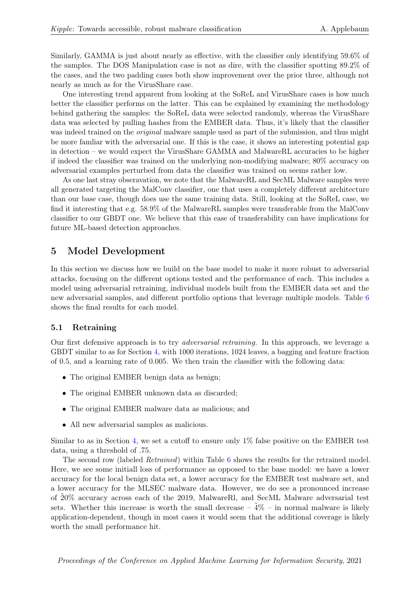Similarly, GAMMA is just about nearly as effective, with the classifier only identifying 59.6% of the samples. The DOS Manipulation case is not as dire, with the classifier spotting 89.2% of the cases, and the two padding cases both show improvement over the prior three, although not nearly as much as for the VirusShare case.

One interesting trend apparent from looking at the SoReL and VirusShare cases is how much better the classifier performs on the latter. This can be explained by examining the methodology behind gathering the samples: the SoReL data were selected randomly, whereas the VirusShare data was selected by pulling hashes from the EMBER data. Thus, it's likely that the classifier was indeed trained on the *original* malware sample used as part of the submission, and thus might be more famliar with the adversarial one. If this is the case, it shows an interesting potential gap in detection – we would expect the VirusShare GAMMA and MalwareRL accuracies to be higher if indeed the classifier was trained on the underlying non-modifying malware; 80% accuracy on adversarial examples perturbed from data the classifier was trained on seems rather low.

As one last stray obseravation, we note that the MalwareRL and SecML Malware samples were all generated targeting the MalConv classifier, one that uses a completely different architecture than our base case, though does use the same training data. Still, looking at the SoReL case, we find it interesting that e.g. 58.9% of the MalwareRL samples were transferable from the MalConv classifier to our GBDT one. We believe that this ease of transferability can have implications for future ML-based detection approaches.

# <span id="page-8-0"></span>5 Model Development

In this section we discuss how we build on the base model to make it more robust to adversarial attacks, focusing on the different options tested and the performance of each. This includes a model using adversarial retraining, individual models built from the EMBER data set and the new adversarial samples, and different portfolio options that leverage multiple models. Table [6](#page-9-0) shows the final results for each model.

#### 5.1 Retraining

Our first defensive approach is to try adversarial retraining. In this approach, we leverage a GBDT similar to as for Section [4,](#page-6-3) with 1000 iterations, 1024 leaves, a bagging and feature fraction of 0.5, and a learning rate of 0.005. We then train the classifier with the following data:

- The original EMBER benign data as benign;
- The original EMBER unknown data as discarded;
- The original EMBER malware data as malicious; and
- All new adversarial samples as malicious.

Similar to as in Section [4,](#page-6-3) we set a cutoff to ensure only 1% false positive on the EMBER test data, using a threshold of .75.

The second row (labeled Retrained) within Table [6](#page-9-0) shows the results for the retrained model. Here, we see some initiall loss of performance as opposed to the base model: we have a lower accuracy for the local benign data set, a lower accuracy for the EMBER test malware set, and a lower accuracy for the MLSEC malware data. However, we do see a pronounced increase of  $20\%$  accuracy across each of the 2019, MalwareRl, and SecML Malware adversarial test sets. Whether this increase is worth the small decrease  $-\frac{4}{6}$  – in normal malware is likely application-dependent, though in most cases it would seem that the additional coverage is likely worth the small performance hit.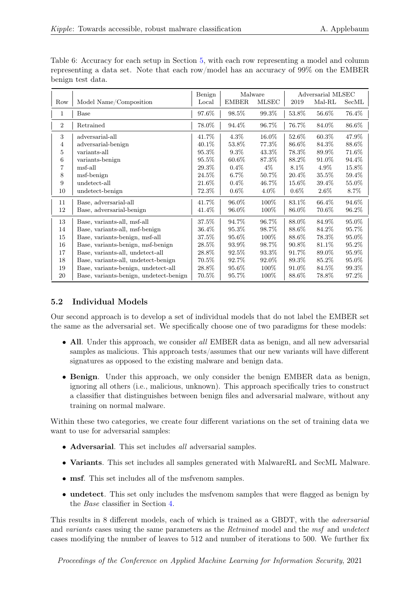|                |                                        | Benign   | Malware      |              | Adversarial MLSEC |          |       |
|----------------|----------------------------------------|----------|--------------|--------------|-------------------|----------|-------|
| Row            | Model Name/Composition                 | Local    | <b>EMBER</b> | <b>MLSEC</b> | 2019              | Mal-RL   | SecML |
| 1              | Base                                   | 97.6%    | 98.5%        | 99.3%        | 53.8%             | 56.6%    | 76.4% |
| $\overline{2}$ | Retrained                              | 78.0%    | 94.4%        | 96.7%        | 76.7%             | 84.0%    | 86.6% |
| 3              | adversarial-all                        | 41.7%    | 4.3%         | 16.0%        | 52.6%             | 60.3%    | 47.9% |
| 4              | adversarial-benign                     | 40.1\%   | 53.8%        | 77.3%        | 86.6%             | 84.3%    | 88.6% |
| 5              | variants-all                           | 95.3%    | $9.3\%$      | 43.3%        | 78.3%             | 89.9%    | 71.6% |
| 6              | variants-benign                        | 95.5%    | $60.6\%$     | 87.3%        | 88.2%             | 91.0%    | 94.4% |
| 7              | msf-all                                | 29.3%    | $0.4\%$      | $4\%$        | $8.1\%$           | $4.9\%$  | 15.8% |
| 8              | msf-benign                             | 24.5%    | $6.7\%$      | 50.7%        | 20.4%             | $35.5\%$ | 59.4% |
| 9              | undetect-all                           | 21.6%    | 0.4%         | 46.7%        | 15.6%             | 39.4%    | 55.0% |
| 10             | undetect-benign                        | 72.3%    | $0.6\%$      | $4.0\%$      | $0.6\%$           | $2.6\%$  | 8.7%  |
| 11             | Base, adversarial-all                  | 41.7%    | 96.0%        | 100%         | 83.1%             | 66.4%    | 94.6% |
| 12             | Base, adversarial-benign               | 41.4%    | 96.0%        | 100%         | 86.0%             | 70.6%    | 96.2% |
| 13             | Base, variants-all, msf-all            | 37.5%    | 94.7%        | 96.7%        | 88.0%             | 84.9%    | 95.0% |
| 14             | Base, variants-all, msf-benign         | 36.4%    | 95.3%        | 98.7%        | 88.6%             | 84.2%    | 95.7% |
| 15             | Base, variants-benign, msf-all         | $37.5\%$ | 95.6%        | 100%         | 88.6%             | 78.3%    | 95.0% |
| 16             | Base, variants-benign, msf-benign      | $28.5\%$ | 93.9%        | 98.7%        | 90.8%             | 81.1\%   | 95.2% |
| 17             | Base, variants-all, undetect-all       | 28.8%    | 92.5%        | 93.3%        | 91.7%             | 89.0%    | 95.9% |
| 18             | Base, variants-all, undetect-benign    | $70.5\%$ | 92.7%        | 92.0%        | 89.3%             | 85.2%    | 95.0% |
| 19             | Base, variants-benign, undetect-all    | 28.8%    | 95.6%        | 100%         | 91.0%             | 84.5%    | 99.3% |
| 20             | Base, variants-benign, undetect-benign | 70.5%    | 95.7%        | 100%         | 88.6%             | 78.8%    | 97.2% |

<span id="page-9-0"></span>Table 6: Accuracy for each setup in Section [5,](#page-8-0) with each row representing a model and column representing a data set. Note that each row/model has an accuracy of 99% on the EMBER benign test data.

# 5.2 Individual Models

Our second approach is to develop a set of individual models that do not label the EMBER set the same as the adversarial set. We specifically choose one of two paradigms for these models:

- All. Under this approach, we consider all EMBER data as benign, and all new adversarial samples as malicious. This approach tests/assumes that our new variants will have different signatures as opposed to the existing malware and benign data.
- Benign. Under this approach, we only consider the benign EMBER data as benign, ignoring all others (i.e., malicious, unknown). This approach specifically tries to construct a classifier that distinguishes between benign files and adversarial malware, without any training on normal malware.

Within these two categories, we create four different variations on the set of training data we want to use for adversarial samples:

- Adversarial. This set includes all adversarial samples.
- Variants. This set includes all samples generated with MalwareRL and SecML Malware.
- msf. This set includes all of the msfvenom samples.
- undetect. This set only includes the msfvenom samples that were flagged as benign by the Base classifier in Section [4.](#page-6-3)

This results in 8 different models, each of which is trained as a GBDT, with the adversarial and variants cases using the same parameters as the Retrained model and the msf and undetect cases modifying the number of leaves to 512 and number of iterations to 500. We further fix

Proceedings of the Conference on Applied Machine Learning for Information Security, 2021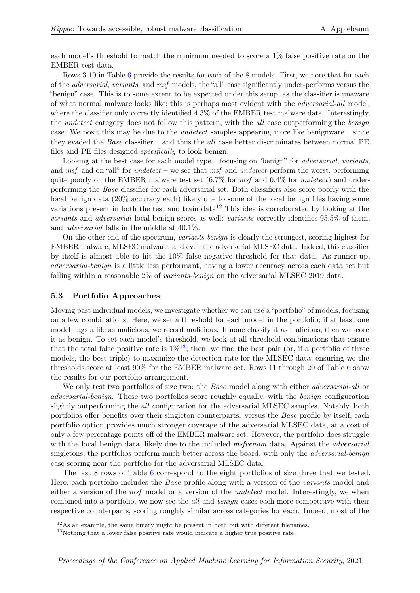each model's threshold to match the minimum needed to score a 1% false positive rate on the EMBER test data.

Rows 3-10 in Table [6](#page-9-0) provide the results for each of the 8 models. First, we note that for each of the adversarial, variants, and msf models, the "all" case significantly under-performs versus the "benign" case. This is to some extent to be expected under this setup, as the classifier is unaware of what normal malware looks like; this is perhaps most evident with the adversarial-all model, where the classifier only correctly identified  $4.3\%$  of the EMBER test malware data. Interestingly, the *undetect* category does not follow this pattern, with the *all* case outperforming the *benign* case. We posit this may be due to the undetect samples appearing more like benignware – since they evaded the *Base* classifier – and thus the *all* case better discriminates between normal  $PE$ files and PE files designed specifically to look benign.

Looking at the best case for each model type – focusing on "benign" for *adversarial*, *variants*, and msf, and on "all" for *undetect* – we see that msf and *undetect* perform the worst, performing quite poorly on the EMBER malware test set  $(6.7\%$  for msf and  $0.4\%$  for undetect) and underperforming the Base classifier for each adversarial set. Both classifiers also score poorly with the local benign data (20% accuracy each) likely due to some of the local benign files having some variations present in both the test and train data<sup>[12](#page-10-0)</sup> This idea is corroborated by looking at the variants and adversarial local benign scores as well: variants correctly identifies 95.5% of them, and adversarial falls in the middle at 40.1%.

On the other end of the spectrum, variants-benign is clearly the strongest, scoring highest for EMBER malware, MLSEC malware, and even the adversarial MLSEC data. Indeed, this classifier by itself is almost able to hit the 10% false negative threshold for that data. As runner-up, adversarial-benign is a little less performant, having a lower accuracy across each data set but falling within a reasonable 2% of variants-benign on the adversarial MLSEC 2019 data.

#### 5.3 Portfolio Approaches

Moving past individual models, we investigate whether we can use a "portfolio" of models, focusing on a few combinations. Here, we set a threshold for each model in the portfolio; if at least one model flags a file as malicious, we record malicious. If none classify it as malicious, then we score it as benign. To set each model's threshold, we look at all threshold combinations that ensure that the total false positive rate is  $1\%^{13}$  $1\%^{13}$  $1\%^{13}$ ; then, we find the best pair (or, if a portfolio of three models, the best triple) to maximize the detection rate for the MLSEC data, ensuring we the thresholds score at least 90% for the EMBER malware set. Rows 11 through 20 of Table [6](#page-9-0) show the results for our portfolio arrangement.

We only test two portfolios of size two: the *Base* model along with either *adversarial-all* or adversarial-benign. These two portfolios score roughly equally, with the benign configuration slightly outperforming the all configuration for the adversarial MLSEC samples. Notably, both portfolios offer benefits over their singleton counterparts: versus the *Base* profile by itself, each portfolio option provides much stronger coverage of the adversarial MLSEC data, at a cost of only a few percentage points off of the EMBER malware set. However, the portfolio does struggle with the local benign data, likely due to the included *msfvenom* data. Against the *adversarial* singletons, the portfolios perform much better across the board, with only the *adversarial-benign* case scoring near the portfolio for the adversarial MLSEC data.

The last 8 rows of Table [6](#page-9-0) correspond to the eight portfolios of size three that we tested. Here, each portfolio includes the Base profile along with a version of the variants model and either a version of the msf model or a version of the *undetect* model. Interestingly, we when combined into a portfolio, we now see the all and benign cases each more competitive with their respective counterparts, scoring roughly similar across categories for each. Indeed, most of the

<span id="page-10-0"></span><sup>&</sup>lt;sup>12</sup>As an example, the same binary might be present in both but with different filenames.

<span id="page-10-1"></span> $13$ Nothing that a lower false positive rate would indicate a higher true positive rate.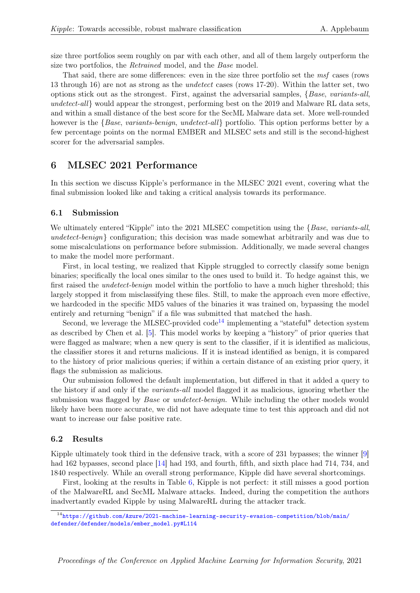size three portfolios seem roughly on par with each other, and all of them largely outperform the size two portfolios, the Retrained model, and the Base model.

That said, there are some differences: even in the size three portfolio set the msf cases (rows 13 through 16) are not as strong as the undetect cases (rows 17-20). Within the latter set, two options stick out as the strongest. First, against the adversarial samples,  $\{Base, variants-all,$ undetect-all would appear the strongest, performing best on the 2019 and Malware RL data sets, and within a small distance of the best score for the SecML Malware data set. More well-rounded however is the {Base, variants-benign, undetect-all} portfolio. This option performs better by a few percentage points on the normal EMBER and MLSEC sets and still is the second-highest scorer for the adversarial samples.

#### 6 MLSEC 2021 Performance

In this section we discuss Kipple's performance in the MLSEC 2021 event, covering what the final submission looked like and taking a critical analysis towards its performance.

#### 6.1 Submission

We ultimately entered "Kipple" into the 2021 MLSEC competition using the {Base, variants-all, undetect-benign} configuration; this decision was made somewhat arbitrarily and was due to some miscalculations on performance before submission. Additionally, we made several changes to make the model more performant.

First, in local testing, we realized that Kipple struggled to correctly classify some benign binaries; specifically the local ones similar to the ones used to build it. To hedge against this, we first raised the *undetect-benign* model within the portfolio to have a much higher threshold; this largely stopped it from misclassifying these files. Still, to make the approach even more effective, we hardcoded in the specific MD5 values of the binaries it was trained on, bypassing the model entirely and returning "benign" if a file was submitted that matched the hash.

Second, we leverage the MLSEC-provided  $\text{code}^{14}$  $\text{code}^{14}$  $\text{code}^{14}$  implementing a "stateful" detection system as described by Chen et al. [\[5\]](#page-14-7). This model works by keeping a "history" of prior queries that were flagged as malware; when a new query is sent to the classifier, if it is identified as malicious, the classifier stores it and returns malicious. If it is instead identified as benign, it is compared to the history of prior malicious queries; if within a certain distance of an existing prior query, it flags the submission as malicious.

Our submission followed the default implementation, but differed in that it added a query to the history if and only if the variants-all model flagged it as malicious, ignoring whether the submission was flagged by *Base* or *undetect-benign*. While including the other models would likely have been more accurate, we did not have adequate time to test this approach and did not want to increase our false positive rate.

#### 6.2 Results

Kipple ultimately took third in the defensive track, with a score of 231 bypasses; the winner [\[9\]](#page-14-8) had 162 bypasses, second place [\[14\]](#page-15-8) had 193, and fourth, fifth, and sixth place had 714, 734, and 1840 respectively. While an overall strong performance, Kipple did have several shortcomings.

First, looking at the results in Table [6,](#page-9-0) Kipple is not perfect: it still misses a good portion of the MalwareRL and SecML Malware attacks. Indeed, during the competition the authors inadvertantly evaded Kipple by using MalwareRL during the attacker track.

<span id="page-11-0"></span> $14$ [https://github.com/Azure/2021-machine-learning-security-evasion-competition/blob/main/](https://github.com/Azure/2021-machine-learning-security-evasion-competition/blob/main/defender/defender/models/ember_model.py#L114) [defender/defender/models/ember\\_model.py#L114](https://github.com/Azure/2021-machine-learning-security-evasion-competition/blob/main/defender/defender/models/ember_model.py#L114)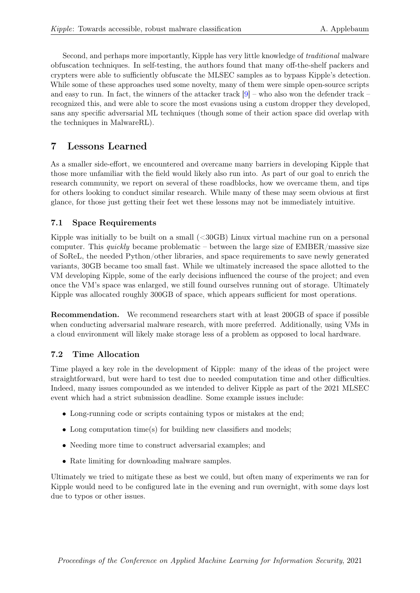Second, and perhaps more importantly, Kipple has very little knowledge of traditional malware obfuscation techniques. In self-testing, the authors found that many off-the-shelf packers and crypters were able to sufficiently obfuscate the MLSEC samples as to bypass Kipple's detection. While some of these approaches used some novelty, many of them were simple open-source scripts and easy to run. In fact, the winners of the attacker track  $|9|$  – who also won the defender track – recognized this, and were able to score the most evasions using a custom dropper they developed, sans any specific adversarial ML techniques (though some of their action space did overlap with the techniques in MalwareRL).

# <span id="page-12-0"></span>7 Lessons Learned

As a smaller side-effort, we encountered and overcame many barriers in developing Kipple that those more unfamiliar with the field would likely also run into. As part of our goal to enrich the research community, we report on several of these roadblocks, how we overcame them, and tips for others looking to conduct similar research. While many of these may seem obvious at first glance, for those just getting their feet wet these lessons may not be immediately intuitive.

# 7.1 Space Requirements

Kipple was initially to be built on a small (<30GB) Linux virtual machine run on a personal computer. This quickly became problematic – between the large size of  $EMBER/massive size$ of SoReL, the needed Python/other libraries, and space requirements to save newly generated variants, 30GB became too small fast. While we ultimately increased the space allotted to the VM developing Kipple, some of the early decisions influenced the course of the project; and even once the VM's space was enlarged, we still found ourselves running out of storage. Ultimately Kipple was allocated roughly 300GB of space, which appears sufficient for most operations.

Recommendation. We recommend researchers start with at least 200GB of space if possible when conducting adversarial malware research, with more preferred. Additionally, using VMs in a cloud environment will likely make storage less of a problem as opposed to local hardware.

# 7.2 Time Allocation

Time played a key role in the development of Kipple: many of the ideas of the project were straightforward, but were hard to test due to needed computation time and other difficulties. Indeed, many issues compounded as we intended to deliver Kipple as part of the 2021 MLSEC event which had a strict submission deadline. Some example issues include:

- Long-running code or scripts containing typos or mistakes at the end;
- Long computation time(s) for building new classifiers and models;
- Needing more time to construct adversarial examples; and
- Rate limiting for downloading malware samples.

Ultimately we tried to mitigate these as best we could, but often many of experiments we ran for Kipple would need to be configured late in the evening and run overnight, with some days lost due to typos or other issues.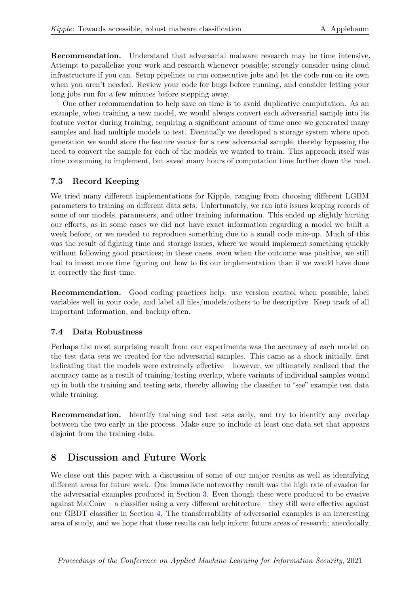Recommendation. Understand that adversarial malware research may be time intensive. Attempt to parallelize your work and research whenever possible; strongly consider using cloud infrastructure if you can. Setup pipelines to run consecutive jobs and let the code run on its own when you aren't needed. Review your code for bugs before running, and consider letting your long jobs run for a few minutes before stepping away.

One other recommendation to help save on time is to avoid duplicative computation. As an example, when training a new model, we would always convert each adversarial sample into its feature vector during training, requiring a significant amount of time once we generated many samples and had multiple models to test. Eventually we developed a storage system where upon generation we would store the feature vector for a new adversarial sample, thereby bypassing the need to convert the sample for each of the models we wanted to train. This approach itself was time consuming to implement, but saved many hours of computation time further down the road.

# 7.3 Record Keeping

We tried many different implementations for Kipple, ranging from choosing different LGBM parameters to training on different data sets. Unfortunately, we ran into issues keeping records of some of our models, parameters, and other training information. This ended up slightly hurting our efforts, as in some cases we did not have exact information regarding a model we built a week before, or we needed to reproduce something due to a small code mix-up. Much of this was the result of fighting time and storage issues, where we would implement something quickly without following good practices; in these cases, even when the outcome was positive, we still had to invest more time figuring out how to fix our implementation than if we would have done it correctly the first time.

Recommendation. Good coding practices help: use version control when possible, label variables well in your code, and label all files/models/others to be descriptive. Keep track of all important information, and backup often.

# 7.4 Data Robustness

Perhaps the most surprising result from our experiments was the accuracy of each model on the test data sets we created for the adversarial samples. This came as a shock initially, first indicating that the models were extremely effective – however, we ultimately realized that the accuracy came as a result of training/testing overlap, where variants of individual samples wound up in both the training and testing sets, thereby allowing the classifier to "see" example test data while training.

Recommendation. Identify training and test sets early, and try to identify any overlap between the two early in the process. Make sure to include at least one data set that appears disjoint from the training data.

# 8 Discussion and Future Work

We close out this paper with a discussion of some of our major results as well as identifying different areas for future work. One immediate noteworthy result was the high rate of evasion for the adversarial examples produced in Section [3.](#page-2-3) Even though these were produced to be evasive against MalConv – a classifier using a very different architecture – they still were effective against our GBDT classifier in Section [4.](#page-6-3) The transferrability of adversarial examples is an interesting area of study, and we hope that these results can help inform future areas of research; anecdotally,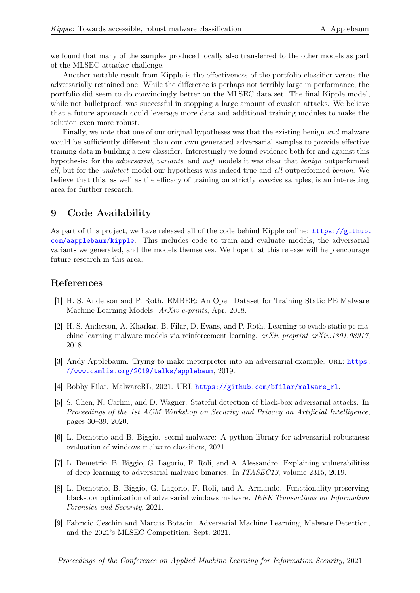we found that many of the samples produced locally also transferred to the other models as part of the MLSEC attacker challenge.

Another notable result from Kipple is the effectiveness of the portfolio classifier versus the adversarially retrained one. While the difference is perhaps not terribly large in performance, the portfolio did seem to do convincingly better on the MLSEC data set. The final Kipple model, while not bulletproof, was successful in stopping a large amount of evasion attacks. We believe that a future approach could leverage more data and additional training modules to make the solution even more robust.

Finally, we note that one of our original hypotheses was that the existing benign and malware would be sufficiently different than our own generated adversarial samples to provide effective training data in building a new classifier. Interestingly we found evidence both for and against this hypothesis: for the *adversarial*, variants, and msf models it was clear that *benign* outperformed all, but for the undetect model our hypothesis was indeed true and all outperformed benign. We believe that this, as well as the efficacy of training on strictly evasive samples, is an interesting area for further research.

## 9 Code Availability

As part of this project, we have released all of the code behind Kipple online:  $\frac{h}{h}$ ttps://github. [com/aapplebaum/kipple](https://github.com/aapplebaum/kipple). This includes code to train and evaluate models, the adversarial variants we generated, and the models themselves. We hope that this release will help encourage future research in this area.

### References

- <span id="page-14-0"></span>[1] H. S. Anderson and P. Roth. EMBER: An Open Dataset for Training Static PE Malware Machine Learning Models. ArXiv e-prints, Apr. 2018.
- <span id="page-14-2"></span>[2] H. S. Anderson, A. Kharkar, B. Filar, D. Evans, and P. Roth. Learning to evade static pe machine learning malware models via reinforcement learning. arXiv preprint arXiv:1801.08917, 2018.
- <span id="page-14-6"></span>[3] Andy Applebaum. Trying to make meterpreter into an adversarial example. URL: [https:](https://www.camlis.org/2019/talks/applebaum) [//www.camlis.org/2019/talks/applebaum](https://www.camlis.org/2019/talks/applebaum), 2019.
- <span id="page-14-1"></span>[4] Bobby Filar. MalwareRL, 2021. URL [https://github.com/bfilar/malware\\_rl](https://github.com/bfilar/malware_rl).
- <span id="page-14-7"></span>[5] S. Chen, N. Carlini, and D. Wagner. Stateful detection of black-box adversarial attacks. In Proceedings of the 1st ACM Workshop on Security and Privacy on Artificial Intelligence, pages 30–39, 2020.
- <span id="page-14-3"></span>[6] L. Demetrio and B. Biggio. secml-malware: A python library for adversarial robustness evaluation of windows malware classifiers, 2021.
- <span id="page-14-5"></span>[7] L. Demetrio, B. Biggio, G. Lagorio, F. Roli, and A. Alessandro. Explaining vulnerabilities of deep learning to adversarial malware binaries. In ITASEC19, volume 2315, 2019.
- <span id="page-14-4"></span>[8] L. Demetrio, B. Biggio, G. Lagorio, F. Roli, and A. Armando. Functionality-preserving black-box optimization of adversarial windows malware. IEEE Transactions on Information Forensics and Security, 2021.
- <span id="page-14-8"></span>[9] Fabrício Ceschin and Marcus Botacin. Adversarial Machine Learning, Malware Detection, and the 2021's MLSEC Competition, Sept. 2021.